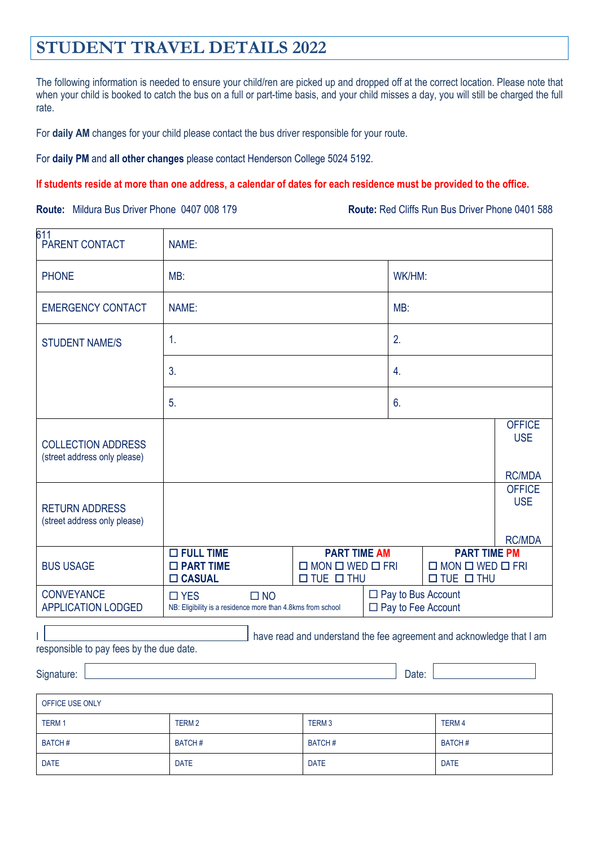## **STUDENT TRAVEL DETAILS 2022**

The following information is needed to ensure your child/ren are picked up and dropped off at the correct location. Please note that when your child is booked to catch the bus on a full or part-time basis, and your child misses a day, you will still be charged the full rate.

For **daily AM** changes for your child please contact the bus driver responsible for your route.

For **daily PM** and **all other changes** please contact Henderson College 5024 5192.

## **If students reside at more than one address, a calendar of dates for each residence must be provided to the office.**

**Route:** Mildura Bus Driver Phone 0407 008 179 **Route:** Red Cliffs Run Bus Driver Phone 0401 588

| 611<br>PARENT CONTACT                                     | NAME:                                                                                     |                                                                                                                                                                            |               |                                                                      |                             |  |  |
|-----------------------------------------------------------|-------------------------------------------------------------------------------------------|----------------------------------------------------------------------------------------------------------------------------------------------------------------------------|---------------|----------------------------------------------------------------------|-----------------------------|--|--|
| <b>PHONE</b>                                              | MB:                                                                                       |                                                                                                                                                                            |               | WK/HM:                                                               |                             |  |  |
| <b>EMERGENCY CONTACT</b>                                  | NAME:                                                                                     |                                                                                                                                                                            |               | MB:                                                                  |                             |  |  |
| <b>STUDENT NAME/S</b>                                     | 1.                                                                                        |                                                                                                                                                                            |               | 2.                                                                   |                             |  |  |
|                                                           | 3.                                                                                        |                                                                                                                                                                            |               | 4.                                                                   |                             |  |  |
|                                                           | 5.                                                                                        |                                                                                                                                                                            | 6.            |                                                                      |                             |  |  |
| <b>COLLECTION ADDRESS</b><br>(street address only please) |                                                                                           |                                                                                                                                                                            |               |                                                                      | <b>OFFICE</b><br><b>USE</b> |  |  |
|                                                           |                                                                                           |                                                                                                                                                                            |               |                                                                      | <b>RC/MDA</b>               |  |  |
| <b>RETURN ADDRESS</b><br>(street address only please)     |                                                                                           |                                                                                                                                                                            |               |                                                                      | <b>OFFICE</b><br><b>USE</b> |  |  |
| <b>BUS USAGE</b>                                          | <b>O FULL TIME</b><br>□ PART TIME<br><b>CASUAL</b>                                        | <b>PART TIME PM</b><br><b>PART TIME AM</b><br>$\Box$ MON $\Box$ WED $\Box$ FRI<br>$\Box$ MON $\Box$ WED $\Box$ FRI<br>$\Box$ TUE $\Box$ THU<br>$\square$ TUE $\square$ THU |               | <b>RC/MDA</b>                                                        |                             |  |  |
| <b>CONVEYANCE</b><br><b>APPLICATION LODGED</b>            | $\Box$ NO<br>$\square$ YES<br>NB: Eligibility is a residence more than 4.8kms from school | $\Box$ Pay to Bus Account<br>$\Box$ Pay to Fee Account                                                                                                                     |               |                                                                      |                             |  |  |
| responsible to pay fees by the due date.<br>Signature:    |                                                                                           |                                                                                                                                                                            | Date:         | have read and understand the fee agreement and acknowledge that I am |                             |  |  |
| OFFICE USE ONLY                                           |                                                                                           |                                                                                                                                                                            |               |                                                                      |                             |  |  |
| TERM 1                                                    | TERM <sub>2</sub>                                                                         | TERM <sub>3</sub>                                                                                                                                                          |               | <b>TERM4</b>                                                         |                             |  |  |
| <b>BATCH#</b>                                             | <b>BATCH#</b>                                                                             | <b>BATCH#</b>                                                                                                                                                              | <b>BATCH#</b> |                                                                      |                             |  |  |
| <b>DATE</b>                                               | <b>DATE</b>                                                                               | <b>DATE</b><br><b>DATE</b>                                                                                                                                                 |               |                                                                      |                             |  |  |